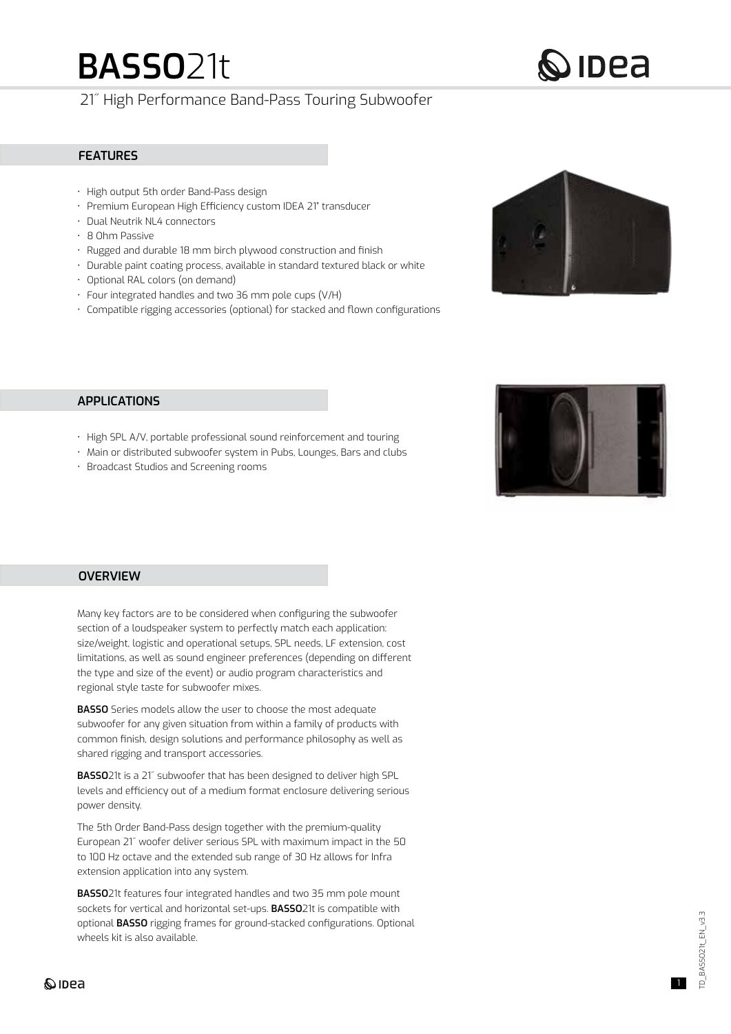# **BASSO**21t

# 21˝ High Performance Band-Pass Touring Subwoofer

### **FEATURES**

- High output 5th order Band-Pass design
- Premium European High Efficiency custom IDEA 21" transducer
- Dual Neutrik NL4 connectors
- 8 Ohm Passive
- Rugged and durable 18 mm birch plywood construction and finish
- Durable paint coating process, available in standard textured black or white
- Optional RAL colors (on demand)
- Four integrated handles and two 36 mm pole cups (V/H)
- Compatible rigging accessories (optional) for stacked and flown configurations



 $\mathcal O$  IDEA

# **APPLICATIONS**

- High SPL A/V, portable professional sound reinforcement and touring
- Main or distributed subwoofer system in Pubs, Lounges, Bars and clubs
- Broadcast Studios and Screening rooms



## **OVERVIEW**

Many key factors are to be considered when configuring the subwoofer section of a loudspeaker system to perfectly match each application: size/weight, logistic and operational setups, SPL needs, LF extension, cost limitations, as well as sound engineer preferences (depending on different the type and size of the event) or audio program characteristics and regional style taste for subwoofer mixes.

**BASSO** Series models allow the user to choose the most adequate subwoofer for any given situation from within a family of products with common finish, design solutions and performance philosophy as well as shared rigging and transport accessories.

**BASSO**21t is a 21˝ subwoofer that has been designed to deliver high SPL levels and efficiency out of a medium format enclosure delivering serious power density.

The 5th Order Band-Pass design together with the premium-quality European 21˝ woofer deliver serious SPL with maximum impact in the 50 to 100 Hz octave and the extended sub range of 30 Hz allows for Infra extension application into any system.

**BASSO**21t features four integrated handles and two 35 mm pole mount sockets for vertical and horizontal set-ups. **BASSO**21t is compatible with optional **BASSO** rigging frames for ground-stacked configurations. Optional wheels kit is also available.

# **Q**IDea